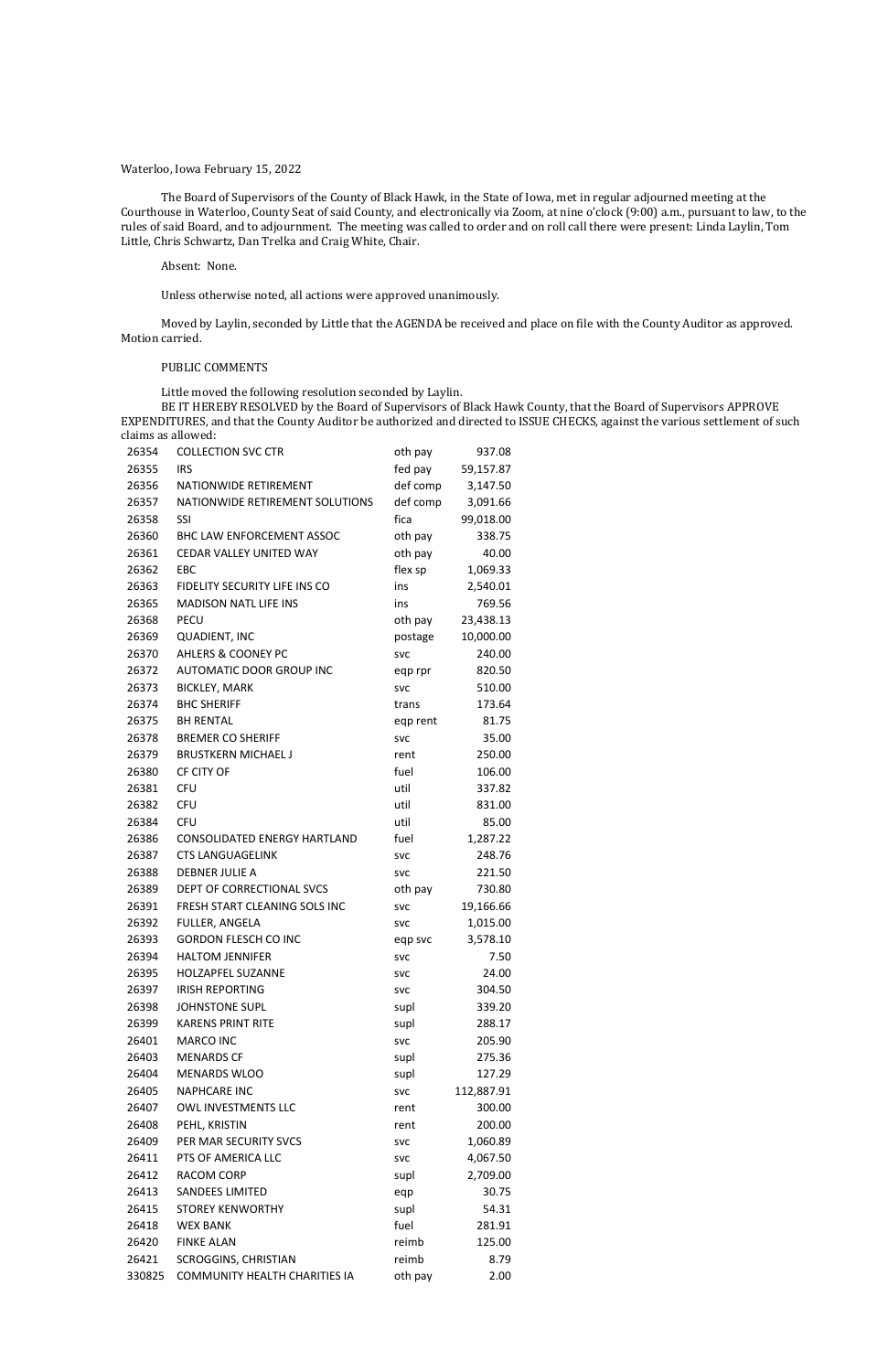### Waterloo, Iowa February 15, 2022

The Board of Supervisors of the County of Black Hawk, in the State of Iowa, met in regular adjourned meeting at the Courthouse in Waterloo, County Seat of said County, and electronically via Zoom, at nine o'clock (9:00) a.m., pursuant to law, to the rules of said Board, and to adjournment. The meeting was called to order and on roll call there were present: Linda Laylin, Tom Little, Chris Schwartz, Dan Trelka and Craig White, Chair.

Absent: None.

Unless otherwise noted, all actions were approved unanimously.

Moved by Laylin, seconded by Little that the AGENDA be received and place on file with the County Auditor as approved. Motion carried.

#### PUBLIC COMMENTS

Little moved the following resolution seconded by Laylin.

BE IT HEREBY RESOLVED by the Board of Supervisors of Black Hawk County, that the Board of Supervisors APPROVE EXPENDITURES, and that the County Auditor be authorized and directed to ISSUE CHECKS, against the various settlement of such claims as allowed:

| 26354  | <b>COLLECTION SVC CTR</b>            | oth pay    | 937.08     |
|--------|--------------------------------------|------------|------------|
| 26355  | <b>IRS</b>                           | fed pay    | 59,157.87  |
| 26356  | NATIONWIDE RETIREMENT                | def comp   | 3,147.50   |
| 26357  | NATIONWIDE RETIREMENT SOLUTIONS      | def comp   | 3,091.66   |
| 26358  | SSI                                  | fica       | 99,018.00  |
| 26360  | BHC LAW ENFORCEMENT ASSOC            | oth pay    | 338.75     |
| 26361  | CEDAR VALLEY UNITED WAY              | oth pay    | 40.00      |
| 26362  | <b>EBC</b>                           | flex sp    | 1,069.33   |
| 26363  | <b>FIDELITY SECURITY LIFE INS CO</b> | ins        | 2,540.01   |
| 26365  | <b>MADISON NATL LIFE INS</b>         | ins        | 769.56     |
| 26368  | <b>PECU</b>                          | oth pay    | 23,438.13  |
| 26369  | <b>QUADIENT, INC</b>                 | postage    | 10,000.00  |
| 26370  | <b>AHLERS &amp; COONEY PC</b>        | <b>SVC</b> | 240.00     |
| 26372  | AUTOMATIC DOOR GROUP INC             | eqp rpr    | 820.50     |
| 26373  | <b>BICKLEY, MARK</b>                 | <b>SVC</b> | 510.00     |
| 26374  | <b>BHC SHERIFF</b>                   | trans      | 173.64     |
| 26375  | <b>BH RENTAL</b>                     | eqp rent   | 81.75      |
| 26378  | <b>BREMER CO SHERIFF</b>             | <b>SVC</b> | 35.00      |
| 26379  | <b>BRUSTKERN MICHAEL J</b>           | rent       | 250.00     |
| 26380  | CF CITY OF                           | fuel       | 106.00     |
| 26381  | <b>CFU</b>                           | util       | 337.82     |
| 26382  | <b>CFU</b>                           | util       | 831.00     |
| 26384  | <b>CFU</b>                           | util       | 85.00      |
| 26386  | <b>CONSOLIDATED ENERGY HARTLAND</b>  | fuel       | 1,287.22   |
| 26387  | <b>CTS LANGUAGELINK</b>              | <b>SVC</b> | 248.76     |
| 26388  | <b>DEBNER JULIE A</b>                | <b>SVC</b> | 221.50     |
| 26389  | DEPT OF CORRECTIONAL SVCS            | oth pay    | 730.80     |
| 26391  | FRESH START CLEANING SOLS INC        | <b>SVC</b> | 19,166.66  |
| 26392  | FULLER, ANGELA                       | <b>SVC</b> | 1,015.00   |
| 26393  | <b>GORDON FLESCH CO INC</b>          | eqp svc    | 3,578.10   |
| 26394  | <b>HALTOM JENNIFER</b>               | <b>SVC</b> | 7.50       |
| 26395  | <b>HOLZAPFEL SUZANNE</b>             | <b>SVC</b> | 24.00      |
| 26397  | <b>IRISH REPORTING</b>               | <b>SVC</b> | 304.50     |
| 26398  | <b>JOHNSTONE SUPL</b>                | supl       | 339.20     |
| 26399  | <b>KARENS PRINT RITE</b>             | supl       | 288.17     |
| 26401  | <b>MARCO INC</b>                     | <b>SVC</b> | 205.90     |
| 26403  | <b>MENARDS CF</b>                    | supl       | 275.36     |
| 26404  | <b>MENARDS WLOO</b>                  | supl       | 127.29     |
| 26405  | <b>NAPHCARE INC</b>                  | <b>SVC</b> | 112,887.91 |
| 26407  | OWL INVESTMENTS LLC                  | rent       | 300.00     |
| 26408  | PEHL, KRISTIN                        | rent       | 200.00     |
| 26409  | PER MAR SECURITY SVCS                | <b>SVC</b> | 1,060.89   |
| 26411  | PTS OF AMERICA LLC                   | <b>SVC</b> | 4,067.50   |
| 26412  | RACOM CORP                           | supl       | 2,709.00   |
| 26413  | <b>SANDEES LIMITED</b>               | eqp        | 30.75      |
| 26415  | <b>STOREY KENWORTHY</b>              | supl       | 54.31      |
| 26418  | <b>WEX BANK</b>                      | fuel       | 281.91     |
| 26420  | <b>FINKE ALAN</b>                    | reimb      | 125.00     |
| 26421  | <b>SCROGGINS, CHRISTIAN</b>          | reimb      | 8.79       |
| 330825 | COMMUNITY HEALTH CHARITIES IA        | oth pay    | 2.00       |
|        |                                      |            |            |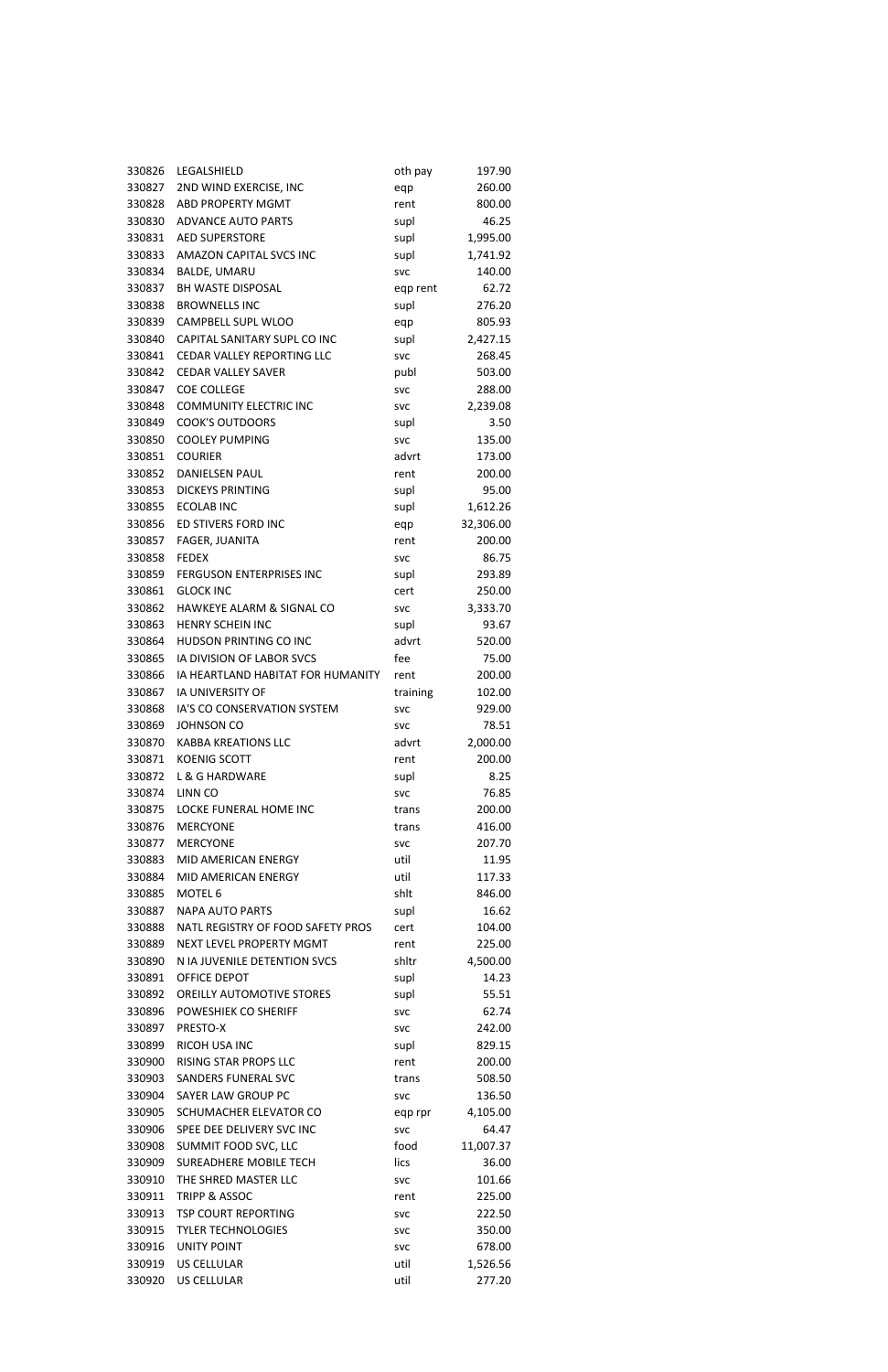| 330826 | LEGALSHIELD                          | oth pay    | 197.90    |
|--------|--------------------------------------|------------|-----------|
| 330827 | 2ND WIND EXERCISE, INC               | eqp        | 260.00    |
| 330828 | <b>ABD PROPERTY MGMT</b>             | rent       | 800.00    |
| 330830 | <b>ADVANCE AUTO PARTS</b>            | supl       | 46.25     |
| 330831 | <b>AED SUPERSTORE</b>                | supl       | 1,995.00  |
| 330833 | AMAZON CAPITAL SVCS INC              | supl       | 1,741.92  |
| 330834 | <b>BALDE, UMARU</b>                  | <b>SVC</b> | 140.00    |
| 330837 | <b>BH WASTE DISPOSAL</b>             | eqp rent   | 62.72     |
| 330838 | <b>BROWNELLS INC</b>                 | supl       | 276.20    |
| 330839 | CAMPBELL SUPL WLOO                   | eqp        | 805.93    |
| 330840 | CAPITAL SANITARY SUPL CO INC         | supl       | 2,427.15  |
| 330841 | CEDAR VALLEY REPORTING LLC           | <b>SVC</b> | 268.45    |
| 330842 | <b>CEDAR VALLEY SAVER</b>            | publ       | 503.00    |
| 330847 | <b>COE COLLEGE</b>                   | <b>SVC</b> | 288.00    |
| 330848 | <b>COMMUNITY ELECTRIC INC</b>        | <b>SVC</b> | 2,239.08  |
| 330849 | <b>COOK'S OUTDOORS</b>               | supl       | 3.50      |
| 330850 | <b>COOLEY PUMPING</b>                | <b>SVC</b> | 135.00    |
| 330851 | <b>COURIER</b>                       | advrt      | 173.00    |
| 330852 | <b>DANIELSEN PAUL</b>                | rent       | 200.00    |
| 330853 | <b>DICKEYS PRINTING</b>              | supl       | 95.00     |
| 330855 | <b>ECOLAB INC</b>                    | supl       | 1,612.26  |
| 330856 | ED STIVERS FORD INC                  | eqp        | 32,306.00 |
| 330857 | FAGER, JUANITA                       | rent       | 200.00    |
| 330858 | <b>FEDEX</b>                         | <b>SVC</b> | 86.75     |
| 330859 | <b>FERGUSON ENTERPRISES INC</b>      | supl       | 293.89    |
| 330861 | <b>GLOCK INC</b>                     | cert       | 250.00    |
| 330862 | <b>HAWKEYE ALARM &amp; SIGNAL CO</b> | <b>SVC</b> | 3,333.70  |
| 330863 | <b>HENRY SCHEIN INC</b>              | supl       | 93.67     |
| 330864 | HUDSON PRINTING CO INC               | advrt      | 520.00    |
| 330865 | IA DIVISION OF LABOR SVCS            | fee        | 75.00     |
| 330866 | IA HEARTLAND HABITAT FOR HUMANITY    | rent       | 200.00    |
| 330867 | <b>IA UNIVERSITY OF</b>              | training   | 102.00    |
| 330868 | IA'S CO CONSERVATION SYSTEM          | <b>SVC</b> | 929.00    |
| 330869 | <b>JOHNSON CO</b>                    | <b>SVC</b> | 78.51     |
| 330870 | <b>KABBA KREATIONS LLC</b>           | advrt      | 2,000.00  |
| 330871 | <b>KOENIG SCOTT</b>                  | rent       | 200.00    |
| 330872 | L & G HARDWARE                       | supl       | 8.25      |
| 330874 | LINN CO                              | <b>SVC</b> | 76.85     |
| 330875 | LOCKE FUNERAL HOME INC               | trans      | 200.00    |
| 330876 | <b>MERCYONE</b>                      | trans      | 416.00    |
| 330877 | <b>MERCYONE</b>                      | <b>SVC</b> | 207.70    |
| 330883 | MID AMERICAN ENERGY                  | util       | 11.95     |
| 330884 | MID AMERICAN ENERGY                  | util       | 117.33    |
| 330885 | MOTEL <sub>6</sub>                   | shlt       | 846.00    |
| 330887 | <b>NAPA AUTO PARTS</b>               | supl       | 16.62     |
| 330888 | NATL REGISTRY OF FOOD SAFETY PROS    | cert       | 104.00    |
| 330889 | NEXT LEVEL PROPERTY MGMT             | rent       | 225.00    |
| 330890 | N IA JUVENILE DETENTION SVCS         | shitr      | 4,500.00  |
| 330891 | OFFICE DEPOT                         | supl       | 14.23     |
| 330892 | <b>OREILLY AUTOMOTIVE STORES</b>     | supl       | 55.51     |
| 330896 | POWESHIEK CO SHERIFF                 | <b>SVC</b> | 62.74     |
| 330897 | PRESTO-X                             | <b>SVC</b> | 242.00    |
| 330899 | RICOH USA INC                        | supl       | 829.15    |
| 330900 | <b>RISING STAR PROPS LLC</b>         | rent       | 200.00    |
| 330903 | <b>SANDERS FUNERAL SVC</b>           | trans      | 508.50    |
| 330904 | SAYER LAW GROUP PC                   | <b>SVC</b> | 136.50    |
| 330905 | SCHUMACHER ELEVATOR CO               | eqp rpr    | 4,105.00  |
| 330906 | SPEE DEE DELIVERY SVC INC            | <b>SVC</b> | 64.47     |
| 330908 | SUMMIT FOOD SVC, LLC                 | food       | 11,007.37 |
| 330909 | <b>SUREADHERE MOBILE TECH</b>        | lics       | 36.00     |
| 330910 | THE SHRED MASTER LLC                 | <b>SVC</b> | 101.66    |
| 330911 | TRIPP & ASSOC                        | rent       | 225.00    |
| 330913 | <b>TSP COURT REPORTING</b>           | <b>SVC</b> | 222.50    |
| 330915 | <b>TYLER TECHNOLOGIES</b>            | <b>SVC</b> | 350.00    |
| 330916 | <b>UNITY POINT</b>                   | <b>SVC</b> | 678.00    |
| 330919 | <b>US CELLULAR</b>                   | util       | 1,526.56  |
| 330920 | <b>US CELLULAR</b>                   | util       | 277.20    |
|        |                                      |            |           |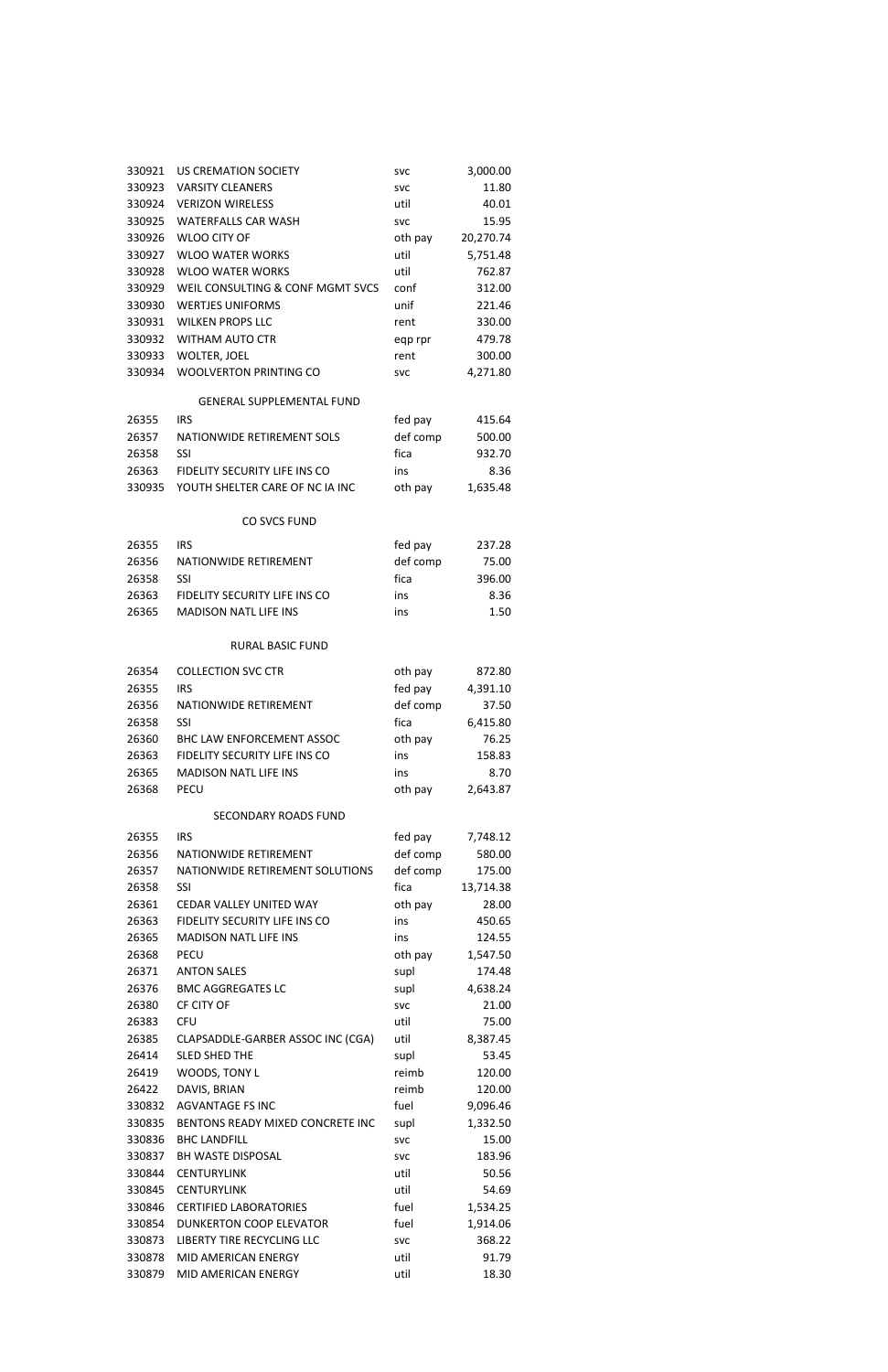| 330921 | US CREMATION SOCIETY             | <b>SVC</b> | 3,000.00  |
|--------|----------------------------------|------------|-----------|
| 330923 | <b>VARSITY CLEANERS</b>          | <b>SVC</b> | 11.80     |
| 330924 | <b>VERIZON WIRELESS</b>          | util       | 40.01     |
| 330925 | <b>WATERFALLS CAR WASH</b>       | <b>SVC</b> | 15.95     |
| 330926 | <b>WLOO CITY OF</b>              | oth pay    | 20,270.74 |
| 330927 | <b>WLOO WATER WORKS</b>          | util       | 5,751.48  |
| 330928 | <b>WLOO WATER WORKS</b>          | util       | 762.87    |
| 330929 | WEIL CONSULTING & CONF MGMT SVCS | conf       | 312.00    |
| 330930 | <b>WERTJES UNIFORMS</b>          | unif       | 221.46    |
| 330931 | <b>WILKEN PROPS LLC</b>          | rent       | 330.00    |
| 330932 | <b>WITHAM AUTO CTR</b>           | eqp rpr    | 479.78    |
| 330933 | <b>WOLTER, JOEL</b>              | rent       | 300.00    |
| 330934 | <b>WOOLVERTON PRINTING CO</b>    | <b>SVC</b> | 4,271.80  |
|        | <b>GENERAL SUPPLEMENTAL FUND</b> |            |           |
| 26355  | <b>IRS</b>                       | fed pay    | 415.64    |
| 26357  | NATIONWIDE RETIREMENT SOLS       | def comp   | 500.00    |
| 26358  | <b>SSI</b>                       | fica       | 932.70    |
| 26363  | FIDELITY SECURITY LIFE INS CO    | ins        | 8.36      |
| 330935 | YOUTH SHELTER CARE OF NC IA INC  | oth pay    | 1,635.48  |
|        | <b>CO SVCS FUND</b>              |            |           |
| 26355  | <b>IRS</b>                       | fed pay    | 237.28    |
| 26356  | NATIONWIDE RETIREMENT            | def comp   | 75.00     |
| 26358  | <b>SSI</b>                       | fica       | 396.00    |
| 26363  | FIDELITY SECURITY LIFE INS CO    | ins        | 8.36      |
| 26365  | <b>MADISON NATL LIFE INS</b>     | ins        | 1.50      |
|        | <b>RURAL BASIC FUND</b>          |            |           |
|        |                                  |            |           |
| 26354  | <b>COLLECTION SVC CTR</b>        | oth pay    | 872.80    |
| 26355  | <b>IRS</b>                       | fed pay    | 4,391.10  |
| 26356  | NATIONWIDE RETIREMENT            | def comp   | 37.50     |
| 26358  | SSI                              | fica       | 6,415.80  |
| 26360  | <b>BHC LAW ENFORCEMENT ASSOC</b> | oth pay    | 76.25     |
| 26363  | FIDELITY SECURITY LIFE INS CO    | ins        | 158.83    |
| 26365  | <b>MADISON NATL LIFE INS</b>     | ins        | 8.70      |
| 26368  | <b>PECU</b>                      | oth pay    | 2,643.87  |
|        | <b>SECONDARY ROADS FUND</b>      |            |           |
| 26355  | <b>IRS</b>                       | fed pay    | 7,748.12  |
| 26356  | NATIONWIDE RETIREMENT            | def comp   | 580.00    |
| 26357  | NATIONWIDE RETIREMENT SOLUTIONS  | def comp   | 175.00    |
| 26358  | SSI                              | fica       | 13,714.38 |
| 26361  | CEDAR VALLEY UNITED WAY          | oth pay    | 28.00     |
| 26363  | FIDELITY SECURITY LIFE INS CO    | ins        | 450.65    |
| 26365  | <b>MADISON NATL LIFE INS</b>     | ins        | 124.55    |
| 26368  | <b>PECU</b>                      | oth pay    | 1,547.50  |
| 26371  | <b>ANTON SALES</b>               | supl       | 174.48    |
| 26376  | <b>BMC AGGREGATES LC</b>         | supl       | 4,638.24  |

| 26380  | CF CITY OF                        | <b>SVC</b> | 21.00    |
|--------|-----------------------------------|------------|----------|
| 26383  | <b>CFU</b>                        | util       | 75.00    |
| 26385  | CLAPSADDLE-GARBER ASSOC INC (CGA) | util       | 8,387.45 |
| 26414  | <b>SLED SHED THE</b>              | supl       | 53.45    |
| 26419  | WOODS, TONY L                     | reimb      | 120.00   |
| 26422  | DAVIS, BRIAN                      | reimb      | 120.00   |
| 330832 | AGVANTAGE FS INC                  | fuel       | 9,096.46 |
| 330835 | BENTONS READY MIXED CONCRETE INC  | supl       | 1,332.50 |
| 330836 | <b>BHC LANDFILL</b>               | <b>SVC</b> | 15.00    |
| 330837 | <b>BH WASTE DISPOSAL</b>          | <b>SVC</b> | 183.96   |
| 330844 | <b>CENTURYLINK</b>                | util       | 50.56    |
| 330845 | <b>CENTURYLINK</b>                | util       | 54.69    |
| 330846 | <b>CERTIFIED LABORATORIES</b>     | fuel       | 1,534.25 |
| 330854 | <b>DUNKERTON COOP ELEVATOR</b>    | fuel       | 1,914.06 |
| 330873 | LIBERTY TIRE RECYCLING LLC        | <b>SVC</b> | 368.22   |
| 330878 | MID AMERICAN ENERGY               | util       | 91.79    |
| 330879 | <b>MID AMERICAN ENERGY</b>        | util       | 18.30    |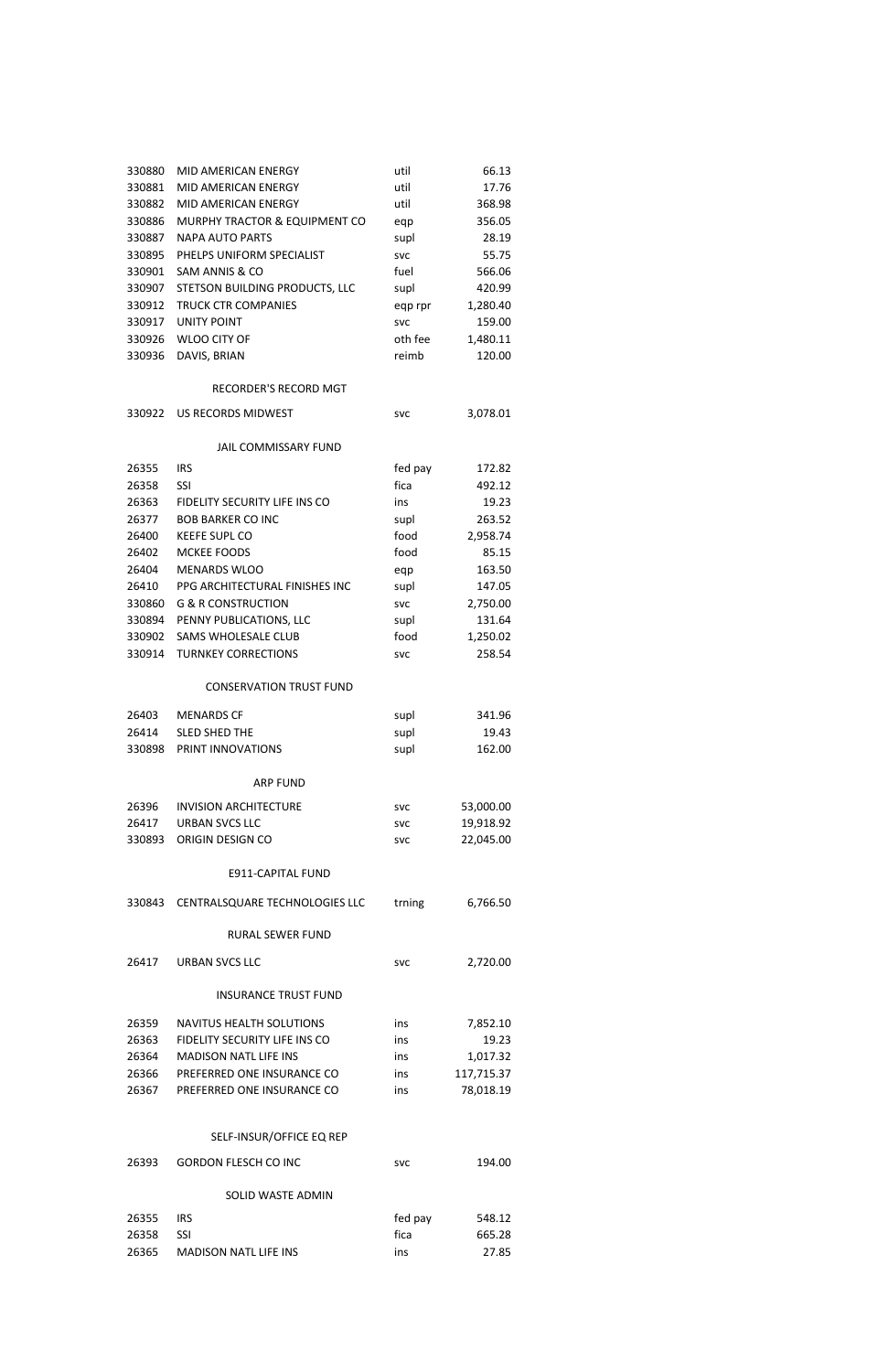| 330880 | <b>MID AMERICAN ENERGY</b>     | util       | 66.13     |
|--------|--------------------------------|------------|-----------|
| 330881 | MID AMERICAN ENERGY            | util       | 17.76     |
| 330882 | MID AMERICAN ENERGY            | util       | 368.98    |
| 330886 | MURPHY TRACTOR & EQUIPMENT CO  | eqp        | 356.05    |
| 330887 | <b>NAPA AUTO PARTS</b>         | supl       | 28.19     |
| 330895 | PHELPS UNIFORM SPECIALIST      | <b>SVC</b> | 55.75     |
| 330901 | SAM ANNIS & CO                 | fuel       | 566.06    |
| 330907 | STETSON BUILDING PRODUCTS, LLC | supl       | 420.99    |
| 330912 | <b>TRUCK CTR COMPANIES</b>     | eqp rpr    | 1,280.40  |
| 330917 | <b>UNITY POINT</b>             | <b>SVC</b> | 159.00    |
| 330926 | <b>WLOO CITY OF</b>            | oth fee    | 1,480.11  |
| 330936 | DAVIS, BRIAN                   | reimb      | 120.00    |
|        | <b>RECORDER'S RECORD MGT</b>   |            |           |
| 330922 | US RECORDS MIDWEST             | <b>SVC</b> | 3,078.01  |
|        | <b>JAIL COMMISSARY FUND</b>    |            |           |
| 26355  | <b>IRS</b>                     | fed pay    | 172.82    |
| 26358  | SSI                            | fica       | 492.12    |
| 26363  | FIDELITY SECURITY LIFE INS CO  | ins        | 19.23     |
| 26377  | <b>BOB BARKER CO INC</b>       | supl       | 263.52    |
| 26400  | <b>KEEFE SUPL CO</b>           | food       | 2,958.74  |
| 26402  | MCKEE FOODS                    | food       | 85.15     |
| 26404  | <b>MENARDS WLOO</b>            | eqp        | 163.50    |
| 26410  | PPG ARCHITECTURAL FINISHES INC | supl       | 147.05    |
| 330860 | <b>G &amp; R CONSTRUCTION</b>  | <b>SVC</b> | 2,750.00  |
| 330894 | PENNY PUBLICATIONS, LLC        | supl       | 131.64    |
| 330902 | <b>SAMS WHOLESALE CLUB</b>     | food       | 1,250.02  |
| 330914 | <b>TURNKEY CORRECTIONS</b>     | <b>SVC</b> | 258.54    |
|        | <b>CONSERVATION TRUST FUND</b> |            |           |
|        | 26403 MENARDS CF               | supl       | 341.96    |
| 26414  | <b>SLED SHED THE</b>           | supl       | 19.43     |
|        | 330898 PRINT INNOVATIONS       | supl       | 162.00    |
|        | <b>ARP FUND</b>                |            |           |
| 26396  | <b>INVISION ARCHITECTURE</b>   | <b>SVC</b> | 53,000.00 |
| 26417  | <b>URBAN SVCS LLC</b>          | <b>SVC</b> | 19,918.92 |
| 330893 | ORIGIN DESIGN CO               | <b>SVC</b> | 22,045.00 |
|        | E911-CAPITAL FUND              |            |           |
| 330843 | CENTRALSQUARE TECHNOLOGIES LLC | trning     | 6,766.50  |
|        | <b>RURAL SEWER FUND</b>        |            |           |
| 26417  | <b>URBAN SVCS LLC</b>          | svc        | 2,720.00  |
|        |                                |            |           |

# INSURANCE TRUST FUND

| 26359 | NAVITUS HEALTH SOLUTIONS      | ins | 7,852.10   |
|-------|-------------------------------|-----|------------|
| 26363 | FIDELITY SECURITY LIFE INS CO | ins | 19.23      |
| 26364 | <b>MADISON NATL LIFE INS</b>  | ins | 1.017.32   |
| 26366 | PREFERRED ONE INSURANCE CO    | ins | 117.715.37 |
| 26367 | PREFERRED ONE INSURANCE CO    | ins | 78,018.19  |

# SELF-INSUR/OFFICE EQ REP

| <b>GORDON FLESCH CO INC</b><br>26393<br>svc | 194.00 |
|---------------------------------------------|--------|
|---------------------------------------------|--------|

## SOLID WASTE ADMIN

| 26355 | IRS.                  | fed pay | 548.12 |
|-------|-----------------------|---------|--------|
| 26358 | -SSL                  | fica    | 665.28 |
| 26365 | MADISON NATL LIFE INS | ins     | 27.85  |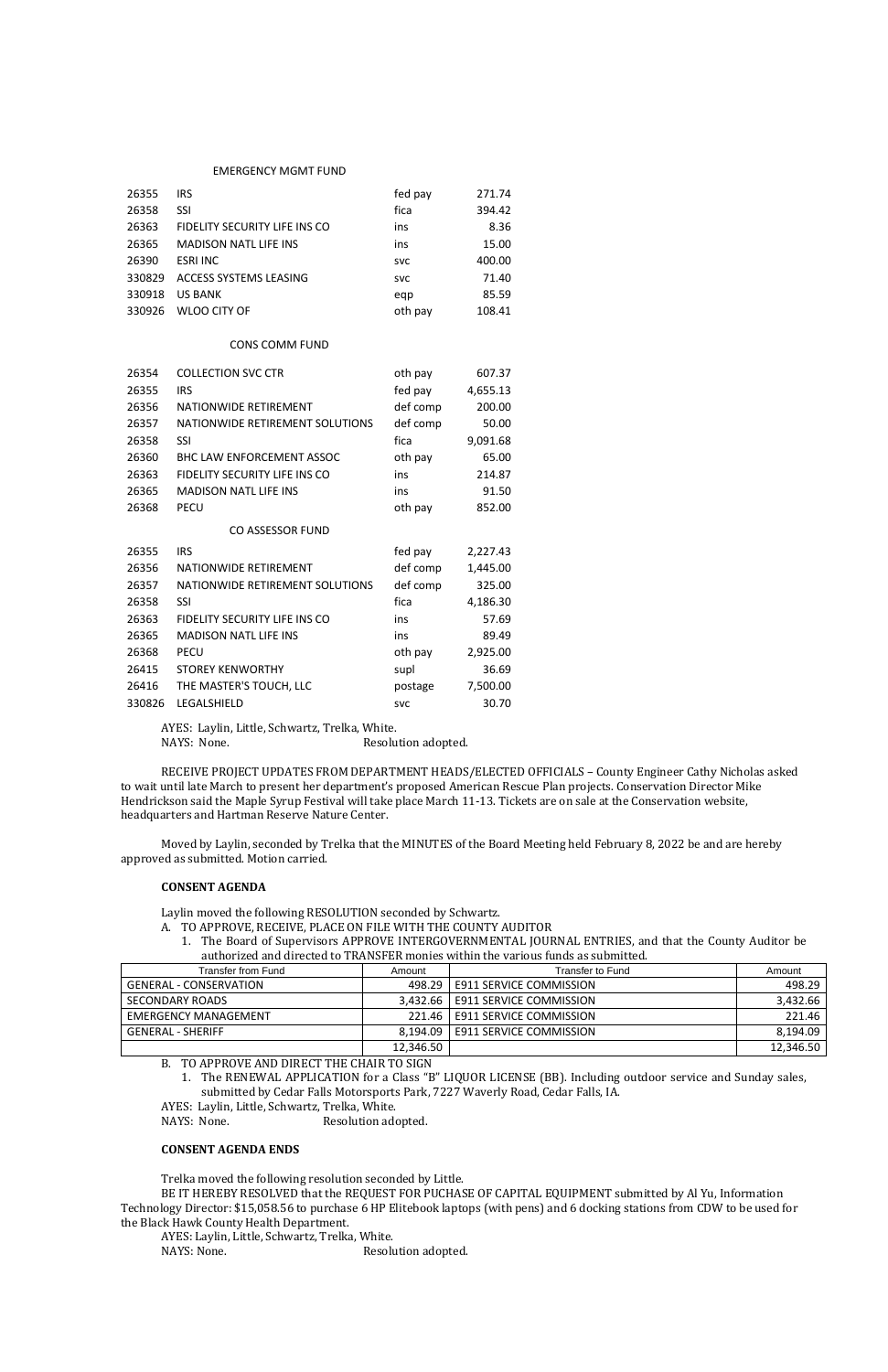#### EMERGENCY MGMT FUND

| 26355  | IRS.                          | fed pay    | 271.74 |
|--------|-------------------------------|------------|--------|
| 26358  | SSI                           | fica       | 394.42 |
| 26363  | FIDELITY SECURITY LIFE INS CO | ins        | 8.36   |
| 26365  | <b>MADISON NATL LIFE INS</b>  | ins        | 15.00  |
| 26390  | <b>ESRI INC</b>               | <b>SVC</b> | 400.00 |
| 330829 | ACCESS SYSTEMS LEASING        | <b>SVC</b> | 71.40  |
| 330918 | <b>US BANK</b>                | egp        | 85.59  |
| 330926 | WLOO CITY OF                  | oth pay    | 108.41 |

#### CONS COMM FUND

AYES: Laylin, Little, Schwartz, Trelka, White. NAYS: None. Resolution adopted.

| 26354  | <b>COLLECTION SVC CTR</b>        | oth pay    | 607.37   |
|--------|----------------------------------|------------|----------|
| 26355  | <b>IRS</b>                       | fed pay    | 4,655.13 |
| 26356  | NATIONWIDE RETIREMENT            | def comp   | 200.00   |
| 26357  | NATIONWIDE RETIREMENT SOLUTIONS  | def comp   | 50.00    |
| 26358  | <b>SSI</b>                       | fica       | 9,091.68 |
| 26360  | <b>BHC LAW ENFORCEMENT ASSOC</b> | oth pay    | 65.00    |
| 26363  | FIDELITY SECURITY LIFE INS CO    | ins        | 214.87   |
| 26365  | <b>MADISON NATL LIFE INS</b>     | ins        | 91.50    |
| 26368  | <b>PECU</b>                      | oth pay    | 852.00   |
|        | CO ASSESSOR FUND                 |            |          |
| 26355  | <b>IRS</b>                       | fed pay    | 2,227.43 |
| 26356  | NATIONWIDE RETIREMENT            | def comp   | 1,445.00 |
| 26357  | NATIONWIDE RETIREMENT SOLUTIONS  | def comp   | 325.00   |
| 26358  | <b>SSI</b>                       | fica       | 4,186.30 |
| 26363  | FIDELITY SECURITY LIFE INS CO    | ins        | 57.69    |
| 26365  | <b>MADISON NATL LIFE INS</b>     | ins        | 89.49    |
| 26368  | <b>PECU</b>                      | oth pay    | 2,925.00 |
| 26415  | <b>STOREY KENWORTHY</b>          | supl       | 36.69    |
| 26416  | THE MASTER'S TOUCH, LLC          | postage    | 7,500.00 |
| 330826 | LEGALSHIELD                      | <b>SVC</b> | 30.70    |

RECEIVE PROJECT UPDATES FROM DEPARTMENT HEADS/ELECTED OFFICIALS – County Engineer Cathy Nicholas asked to wait until late March to present her department's proposed American Rescue Plan projects. Conservation Director Mike Hendrickson said the Maple Syrup Festival will take place March 11-13. Tickets are on sale at the Conservation website, headquarters and Hartman Reserve Nature Center.

Moved by Laylin, seconded by Trelka that the MINUTES of the Board Meeting held February 8, 2022 be and are hereby approved as submitted. Motion carried.

#### **CONSENT AGENDA**

Laylin moved the following RESOLUTION seconded by Schwartz.

- A. TO APPROVE, RECEIVE, PLACE ON FILE WITH THE COUNTY AUDITOR
	- 1. The Board of Supervisors APPROVE INTERGOVERNMENTAL JOURNAL ENTRIES, and that the County Auditor be authorized and directed to TRANSFER monies within the various funds as submitted.

| Transfer from Fund            | Amount    | Transfer to Fund                   | Amount    |
|-------------------------------|-----------|------------------------------------|-----------|
| <b>GENERAL - CONSERVATION</b> |           | 498.29   E911 SERVICE COMMISSION   | 498.29    |
| SECONDARY ROADS               |           | 3.432.66   E911 SERVICE COMMISSION | 3,432.66  |
| <b>EMERGENCY MANAGEMENT</b>   |           | 221.46   E911 SERVICE COMMISSION   | 221.46    |
| <b>GENERAL - SHERIFF</b>      |           | 8.194.09   E911 SERVICE COMMISSION | 8,194.09  |
|                               | 12,346.50 |                                    | 12,346.50 |

### B. TO APPROVE AND DIRECT THE CHAIR TO SIGN

1. The RENEWAL APPLICATION for a Class "B" LIQUOR LICENSE (BB). Including outdoor service and Sunday sales, submitted by Cedar Falls Motorsports Park, 7227 Waverly Road, Cedar Falls, IA.

AYES: Laylin, Little, Schwartz, Trelka, White.

NAYS: None. Resolution adopted.

## **CONSENT AGENDA ENDS**

Trelka moved the following resolution seconded by Little.

BE IT HEREBY RESOLVED that the REQUEST FOR PUCHASE OF CAPITAL EQUIPMENT submitted by Al Yu, Information Technology Director: \$15,058.56 to purchase 6 HP Elitebook laptops (with pens) and 6 docking stations from CDW to be used for the Black Hawk County Health Department.

AYES: Laylin, Little, Schwartz, Trelka, White.

NAYS: None. Resolution adopted.